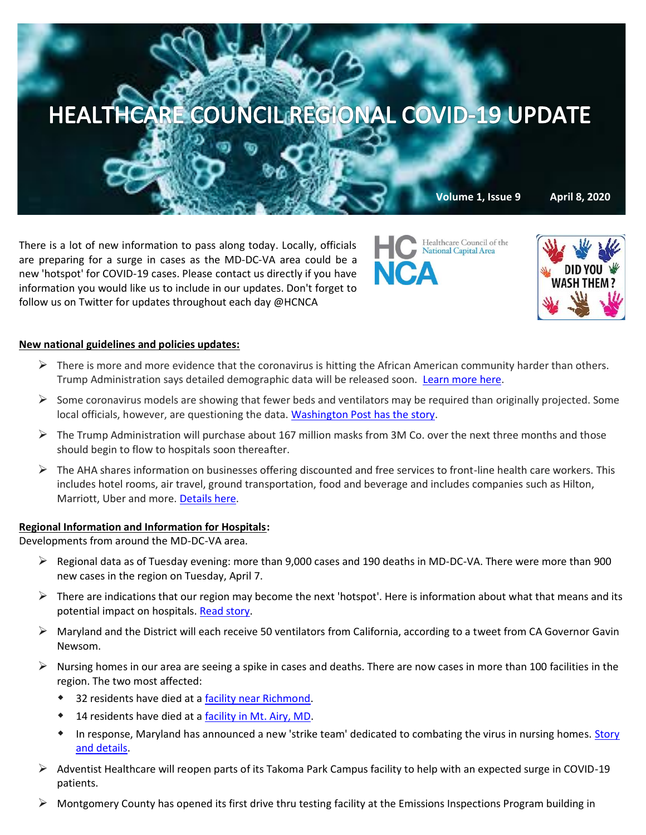

There is a lot of new information to pass along today. Locally, officials are preparing for a surge in cases as the MD-DC-VA area could be a new 'hotspot' for COVID-19 cases. Please contact us directly if you have information you would like us to include in our updates. Don't forget to follow us on Twitter for updates throughout each day @HCNCA

Healthcare Council of the

National Capital Area



# **New national guidelines and policies updates:**

- $\triangleright$  There is more and more evidence that the coronavirus is hitting the African American community harder than others. Trump Administration says detailed demographic data will be released soon. [Learn more here.](https://www.cnbc.com/2020/04/07/white-house-officials-worry-the-coronavirus-is-hitting-african-americans-worse-than-others.html)
- $\triangleright$  Some coronavirus models are showing that fewer beds and ventilators may be required than originally projected. Some local officials, however, are questioning the data. [Washington Post has the story.](https://www.washingtonpost.com/health/2020/04/06/americas-most-influential-coronavirus-model-just-revised-its-estimates-downward-not-every-model-agrees/?mkt_tok=eyJpIjoiTWpVNU5HVTBaRGMyWmpKbSIsInQiOiJ1YUNNZ1RONitNait1VDh1U25iSHZLMVwvMEV3VUNwOFJIeWlzYmFkak95OE5YTENWYzRMdEhQeVVkNVFQNkE5TVZHRnZubWlUNmoxY09FTnVoWGJTV3VjTmtwSTd0b2tselN3TXdrUzVpM24xTWRBNzRsRTZZNVVtQ09pXC9PVUtwIn0=)
- $\triangleright$  The Trump Administration will purchase about 167 million masks from 3M Co. over the next three months and those should begin to flow to hospitals soon thereafter.
- $\triangleright$  The AHA shares information on businesses offering discounted and free services to front-line health care workers. This includes hotel rooms, air travel, ground transportation, food and beverage and includes companies such as Hilton, Marriott, Uber and more. [Details here.](https://www.100millionmasks.org/system/files/media/file/2020/04/COVID-Discounts-Updated-4-7-20-v5.pdf)

## **Regional Information and Information for Hospitals:**

Developments from around the MD-DC-VA area.

- $\triangleright$  Regional data as of Tuesday evening: more than 9,000 cases and 190 deaths in MD-DC-VA. There were more than 900 new cases in the region on Tuesday, April 7.
- $\triangleright$  There are indications that our region may become the next 'hotspot'. Here is information about what that means and its potential impact on hospitals. [Read story.](https://dcist.com/story/20/04/07/officials-warn-d-c-could-be-the-next-coronavirus-hot-spot-what-does-that-mean/)
- $\triangleright$  Maryland and the District will each receive 50 ventilators from California, according to a tweet from CA Governor Gavin Newsom.
- $\triangleright$  Nursing homes in our area are seeing a spike in cases and deaths. There are now cases in more than 100 facilities in the region. The two most affected:
	- 32 residents have died at a [facility near Richmond.](https://www.wsls.com/news/2020/04/06/28-now-dead-at-virginia-nursing-facility-with-coronavirus-outbreak/)
	- 14 residents have died at a **facility in Mt. Airy, MD**.
	- In response, Maryland has announced a new 'strike team' dedicated to combating the virus in nursing homes. Story [and details.](https://www.washingtonpost.com/local/virginia-politics/maryland-forms-strike-teams-to-combat-nursing-home-coronavirus-outbreaks-in/2020/04/07/0792b312-78f5-11ea-a130-df573469f094_story.html)
- $\triangleright$  Adventist Healthcare will reopen parts of its Takoma Park Campus facility to help with an expected surge in COVID-19 patients.
- ➢ Montgomery County has opened its first drive thru testing facility at the Emissions Inspections Program building in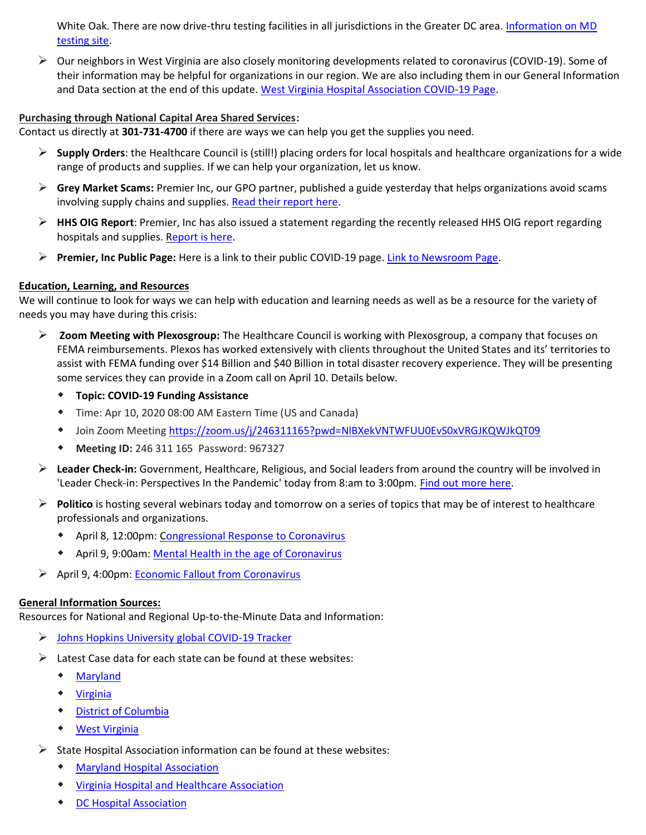White Oak. There are now drive-thru testing facilities in all jurisdictions in the Greater DC area. Information on MD [testing site.](https://patch.com/maryland/silverspring/drive-thru-coronavirus-testing-site-opening-white-oak-facility)

 $\triangleright$  Our neighbors in West Virginia are also closely monitoring developments related to coronavirus (COVID-19). Some of their information may be helpful for organizations in our region. We are also including them in our General Information and Data section at the end of this update. [West Virginia Hospital Association COVID-19 Page.](http://www.wvha.org/HEF/Emergency-Preparedness/COVID-19-Resource-Center.aspx)

## **Purchasing through National Capital Area Shared Services:**

Contact us directly at **301-731-4700** if there are ways we can help you get the supplies you need.

- ➢ **Supply Orders**: the Healthcare Council is (still!) placing orders for local hospitals and healthcare organizations for a wide range of products and supplies. If we can help your organization, let us know.
- ➢ **Grey Market Scams:** Premier Inc, our GPO partner, published a guide yesterday that helps organizations avoid scams involving supply chains and supplies. [Read their report here.](https://www.premierinc.com/newsroom/blog/common-covid-19-grey-market-scams-and-how-to-avoid-them)
- ➢ **HHS OIG Report**: Premier, Inc has also issued a statement regarding the recently released HHS OIG report regarding hospitals and supplies. [Report is here.](https://www.premierinc.com/newsroom/policy/statement-on-hhs-oig-report-titled-hospital-experiences-responding-to-the-covid-19-pandemic-results-of-a-national-pulse-survey-march-23-27-2020)
- ➢ **Premier, Inc Public Page:** Here is a link to their public COVID-19 page. [Link to Newsroom Page.](https://www.premierinc.com/newsroom)

### **Education, Learning, and Resources**

We will continue to look for ways we can help with education and learning needs as well as be a resource for the variety of needs you may have during this crisis:

- ➢ **Zoom Meeting with Plexosgroup:** The Healthcare Council is working with Plexosgroup, a company that focuses on FEMA reimbursements. Plexos has worked extensively with clients throughout the United States and its' territories to assist with FEMA funding over \$14 Billion and \$40 Billion in total disaster recovery experience. They will be presenting some services they can provide in a Zoom call on April 10. Details below.
	- **Topic: COVID-19 Funding Assistance**
	- Time: Apr 10, 2020 08:00 AM Eastern Time (US and Canada)
	- Join Zoom Meeting<https://zoom.us/j/246311165?pwd=NlBXekVNTWFUU0EvS0xVRGJKQWJkQT09>
	- **Meeting ID:** 246 311 165 Password: 967327
- ➢ **Leader Check-in:** Government, Healthcare, Religious, and Social leaders from around the country will be involved in 'Leader Check-in: Perspectives In the Pandemic' today from 8:am to 3:00pm. [Find out more here.](https://leadercheckin.com/)
- ➢ **Politico** is hosting several webinars today and tomorrow on a series of topics that may be of interest to healthcare professionals and organizations.
	- April 8, 12:00pm: [Congressional Response to Coronavirus](https://register.gotowebinar.com/register/7675757050137288206?mkt_tok=eyJpIjoiTkdGbE16aGxZalE1TVRBdyIsInQiOiI3emprMjJ6TVE5V0VxOUU3Uk5sR0lUWjk2ZmplNjZFYVlYckd6N2Y3TFZJOVpEUzNLM0R6bFBOUjUxa0s4MFlMUEdpYWh4YXdaV2lUVEhua2NGc2VmeElRRU1RTzlUMFg0Q09tcSthOHYxRHNyWDNtSnByYWx0TWhUYk9tUHA3TiJ9)
	- **\*** April 9, 9:00am: [Mental Health in the age of Coronavirus](https://register.gotowebinar.com/register/6211667157798533134?mkt_tok=eyJpIjoiTkdGbE16aGxZalE1TVRBdyIsInQiOiI3emprMjJ6TVE5V0VxOUU3Uk5sR0lUWjk2ZmplNjZFYVlYckd6N2Y3TFZJOVpEUzNLM0R6bFBOUjUxa0s4MFlMUEdpYWh4YXdaV2lUVEhua2NGc2VmeElRRU1RTzlUMFg0Q09tcSthOHYxRHNyWDNtSnByYWx0TWhUYk9tUHA3TiJ9)
- ➢ April 9, 4:00pm: [Economic Fallout from Coronavirus](https://register.gotowebinar.com/register/2324015043821419278?mkt_tok=eyJpIjoiTkdGbE16aGxZalE1TVRBdyIsInQiOiI3emprMjJ6TVE5V0VxOUU3Uk5sR0lUWjk2ZmplNjZFYVlYckd6N2Y3TFZJOVpEUzNLM0R6bFBOUjUxa0s4MFlMUEdpYWh4YXdaV2lUVEhua2NGc2VmeElRRU1RTzlUMFg0Q09tcSthOHYxRHNyWDNtSnByYWx0TWhUYk9tUHA3TiJ9)

### **General Information Sources:**

Resources for National and Regional Up-to-the-Minute Data and Information:

- ➢ [Johns Hopkins University global COVID-19 Tracker](https://gisanddata.maps.arcgis.com/apps/opsdashboard/index.html#/bda7594740fd40299423467b48e9ecf6)
- $\triangleright$  Latest Case data for each state can be found at these websites:
	- [Maryland](https://coronavirus.maryland.gov/)
	- [Virginia](http://www.vdh.virginia.gov/coronavirus/)
	- [District of Columbia](https://coronavirus.dc.gov/)
	- [West Virginia](https://dhhr.wv.gov/COVID-19/Pages/default.aspx)
- $\triangleright$  State Hospital Association information can be found at these websites:
	- [Maryland Hospital Association](https://www.mhaonline.org/resources/coronavirus)
	- [Virginia Hospital and Healthcare Association](https://www.vhha.com/resources/covid-19-resources/)
	- [DC Hospital Association](https://www.dcha.org/quality-safety/coronavirus)